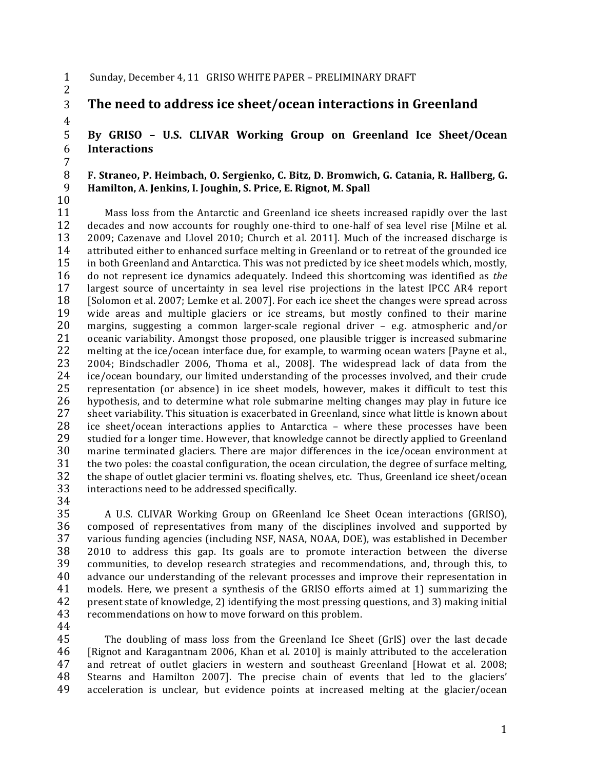- 1 Sunday, December 4, 11 GRISO WHITE PAPER PRELIMINARY DRAFT
- 2

4

**3** The need to address ice sheet/ocean interactions in Greenland

5 **By GRISO - U.S. CLIVAR Working Group on Greenland Ice Sheet/Ocean** 6 **Interactions**

#### 7 8 F. Straneo, P. Heimbach, O. Sergienko, C. Bitz, D. Bromwich, G. Catania, R. Hallberg, G. 9 **Hamilton, A. Jenkins, I. Joughin, S. Price, E. Rignot, M. Spall**

10

11 Mass loss from the Antarctic and Greenland ice sheets increased rapidly over the last 12 decades and now accounts for roughly one-third to one-half of sea level rise [Milne et al. decades and now accounts for roughly one-third to one-half of sea level rise [Milne et al. 13 2009; Cazenave and Llovel 2010; Church et al. 2011]. Much of the increased discharge is 14 attributed either to enhanced surface melting in Greenland or to retreat of the grounded ice 15 in both Greenland and Antarctica. This was not predicted by ice sheet models which, mostly, 16 do not represent ice dynamics adequately. Indeed this shortcoming was identified as *the* 17 largest source of uncertainty in sea level rise projections in the latest IPCC AR4 report 18 [Solomon et al. 2007; Lemke et al. 2007]. For each ice sheet the changes were spread across 19 wide areas and multiple glaciers or ice streams, but mostly confined to their marine 20 margins, suggesting a common larger-scale regional driver  $-$  e.g. atmospheric and/or 21 oceanic variability. Amongst those proposed, one plausible trigger is increased submarine 22 melting at the ice/ocean interface due, for example, to warming ocean waters [Payne et al., 23 2004; Bindschadler 2006, Thoma et al., 2008]. The widespread lack of data from the 24 ice/ocean boundary, our limited understanding of the processes involved, and their crude 25 representation (or absence) in ice sheet models, however, makes it difficult to test this 26 hypothesis, and to determine what role submarine melting changes may play in future ice 27 sheet variability. This situation is exacerbated in Greenland, since what little is known about 28 ice sheet/ocean interactions applies to Antarctica – where these processes have been ice sheet/ocean interactions applies to Antarctica – where these processes have been 29 studied for a longer time. However, that knowledge cannot be directly applied to Greenland 30 marine terminated glaciers. There are major differences in the ice/ocean environment at 31 the two poles: the coastal configuration, the ocean circulation, the degree of surface melting,<br>32 the shape of outlet glacier termini vs. floating shelves, etc. Thus, Greenland ice sheet/ocean the shape of outlet glacier termini vs. floating shelves, etc. Thus, Greenland ice sheet/ocean 33 interactions need to be addressed specifically.

34

35 A U.S. CLIVAR Working Group on GReenland Ice Sheet Ocean interactions (GRISO), 36 composed of representatives from many of the disciplines involved and supported by 37 various funding agencies (including NSF, NASA, NOAA, DOE), was established in December  $38$  2010 to address this gap. Its goals are to promote interaction between the diverse 39 communities, to develop research strategies and recommendations, and, through this, to 40 advance our understanding of the relevant processes and improve their representation in 41 models. Here, we present a synthesis of the GRISO efforts aimed at 1) summarizing the 42 present state of knowledge, 2) identifying the most pressing questions, and 3) making initial 43 recommendations on how to move forward on this problem.

44

45 The doubling of mass loss from the Greenland Ice Sheet (GrIS) over the last decade 46 [Rignot and Karagantnam 2006, Khan et al. 2010] is mainly attributed to the acceleration 47 and retreat of outlet glaciers in western and southeast Greenland [Howat et al. 2008; 48 Stearns and Hamilton 2007]. The precise chain of events that led to the glaciers' 49 acceleration is unclear, but evidence points at increased melting at the glacier/ocean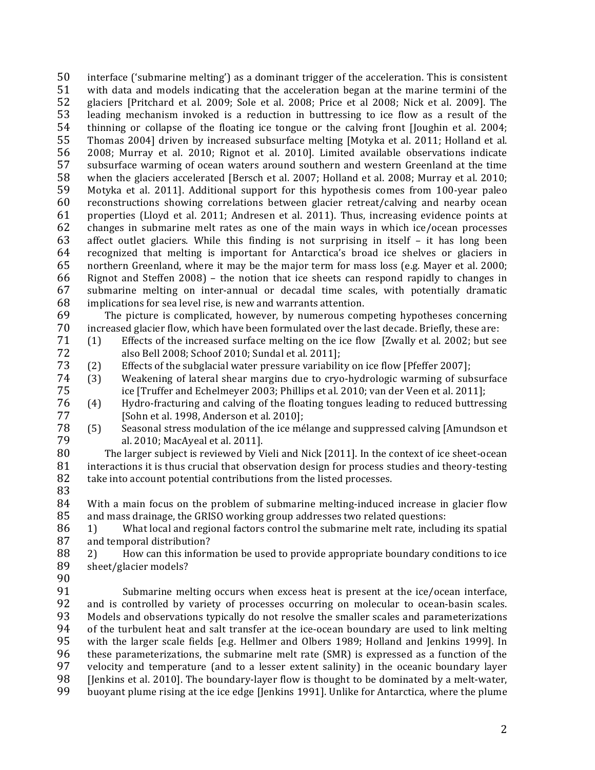50 interface ('submarine melting') as a dominant trigger of the acceleration. This is consistent 51 with data and models indicating that the acceleration began at the marine termini of the 52 glaciers [Pritchard et al. 2009; Sole et al. 2008; Price et al 2008; Nick et al. 2009]. The 53 leading mechanism invoked is a reduction in buttressing to ice flow as a result of the 54 thinning or collapse of the floating ice tongue or the calving front [Joughin et al. 2004; 55 Thomas 2004] driven by increased subsurface melting [Motyka et al. 2011; Holland et al. 56 2008; Murray et al. 2010; Rignot et al. 2010]. Limited available observations indicate 57 subsurface warming of ocean waters around southern and western Greenland at the time 58 when the glaciers accelerated [Bersch et al. 2007; Holland et al. 2008; Murray et al. 2010; 59 Motyka et al. 2011]. Additional support for this hypothesis comes from 100-year paleo 60 reconstructions showing correlations between glacier retreat/calving and nearby ocean 61 properties (Lloyd et al. 2011; Andresen et al. 2011). Thus, increasing evidence points at 62 changes in submarine melt rates as one of the main ways in which ice/ocean processes 63 affect outlet glaciers. While this finding is not surprising in itself - it has long been 64 recognized that melting is important for Antarctica's broad ice shelves or glaciers in 65 northern Greenland, where it may be the major term for mass loss (e.g. Mayer et al. 2000; 66 Rignot and Steffen 2008) - the notion that ice sheets can respond rapidly to changes in 67 submarine melting on inter-annual or decadal time scales, with potentially dramatic 68 implications for sea level rise, is new and warrants attention.

69 The picture is complicated, however, by numerous competing hypotheses concerning 70 increased glacier flow, which have been formulated over the last decade. Briefly, these are:

- 71 Effects of the increased surface melting on the ice flow [Zwally et al. 2002; but see  $(1)$ 72 also Bell 2008; Schoof 2010; Sundal et al. 2011];
- 73 Effects of the subglacial water pressure variability on ice flow [Pfeffer 2007];  $(2)$
- 74  $(3)$ Weakening of lateral shear margins due to cryo-hydrologic warming of subsurface 75 ice [Truffer and Echelmeyer 2003; Phillips et al. 2010; van der Veen et al. 2011];
- 76  $(4)$ Hydro-fracturing and calving of the floating tongues leading to reduced buttressing 77 [Sohn et al. 1998, Anderson et al. 2010];
- 78 Seasonal stress modulation of the ice mélange and suppressed calving [Amundson et  $(5)$ 79 al. 2010; MacAyeal et al. 2011].

80 The larger subject is reviewed by Vieli and Nick [2011]. In the context of ice sheet-ocean 81 interactions it is thus crucial that observation design for process studies and theory-testing 82 take into account potential contributions from the listed processes.

83

84 With a main focus on the problem of submarine melting-induced increase in glacier flow 85 and mass drainage, the GRISO working group addresses two related questions:

What local and regional factors control the submarine melt rate, including its spatial 86 1) 87 and temporal distribution?

88 How can this information be used to provide appropriate boundary conditions to ice 2) 89 sheet/glacier models?

90

91 Submarine melting occurs when excess heat is present at the ice/ocean interface, 92 and is controlled by variety of processes occurring on molecular to ocean-basin scales. 93 Models and observations typically do not resolve the smaller scales and parameterizations 94 of the turbulent heat and salt transfer at the ice-ocean boundary are used to link melting 95 with the larger scale fields [e.g. Hellmer and Olbers 1989; Holland and Jenkins 1999]. In 96 these parameterizations, the submarine melt rate (SMR) is expressed as a function of the 97 velocity and temperature (and to a lesser extent salinity) in the oceanic boundary layer 98 [Jenkins et al. 2010]. The boundary-layer flow is thought to be dominated by a melt-water, 99 buoyant plume rising at the ice edge [Jenkins 1991]. Unlike for Antarctica, where the plume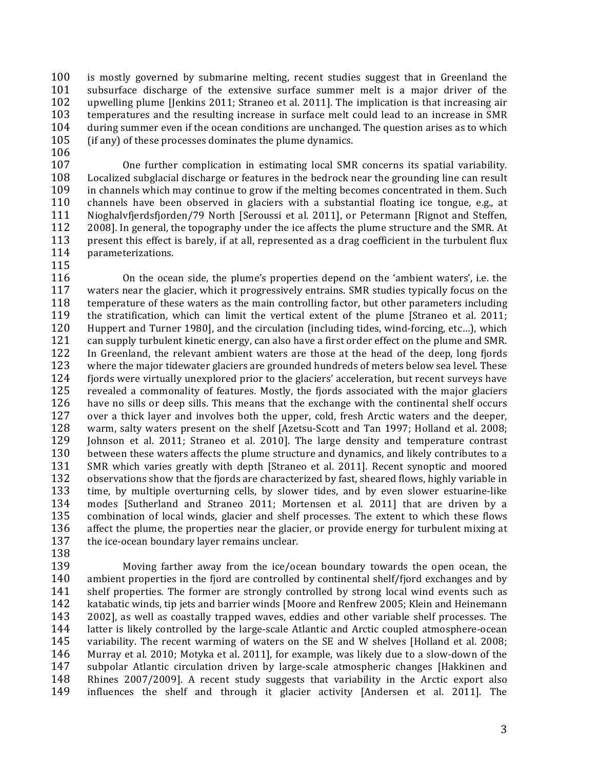100 is mostly governed by submarine melting, recent studies suggest that in Greenland the 101 subsurface discharge of the extensive surface summer melt is a major driver of the 102 upwelling plume Henkins 2011; Straneo et al. 2011]. The implication is that increasing air 103 temperatures and the resulting increase in surface melt could lead to an increase in SMR 104 during summer even if the ocean conditions are unchanged. The question arises as to which 105 (if any) of these processes dominates the plume dynamics.

106

107 One further complication in estimating local SMR concerns its spatial variability. 108 Localized subglacial discharge or features in the bedrock near the grounding line can result 109 in channels which may continue to grow if the melting becomes concentrated in them. Such 110 channels have been observed in glaciers with a substantial floating ice tongue, e.g., at 111 Nioghalvfjerdsfjorden/79 North [Seroussi et al. 2011], or Petermann [Rignot and Steffen, 112 2008]. In general, the topography under the ice affects the plume structure and the SMR. At 113 present this effect is barely, if at all, represented as a drag coefficient in the turbulent flux 114 parameterizations.

115

116 On the ocean side, the plume's properties depend on the 'ambient waters', i.e. the 117 waters near the glacier, which it progressively entrains. SMR studies typically focus on the 118 temperature of these waters as the main controlling factor, but other parameters including 119 the stratification, which can limit the vertical extent of the plume [Straneo et al. 2011; 120 Huppert and Turner 1980], and the circulation (including tides, wind-forcing, etc...), which 121 can supply turbulent kinetic energy, can also have a first order effect on the plume and SMR. 122 In Greenland, the relevant ambient waters are those at the head of the deep, long fjords 123 where the major tidewater glaciers are grounded hundreds of meters below sea level. These 124 fiords were virtually unexplored prior to the glaciers' acceleration, but recent surveys have 125 revealed a commonality of features. Mostly, the fjords associated with the major glaciers 126 have no sills or deep sills. This means that the exchange with the continental shelf occurs 127 over a thick layer and involves both the upper, cold, fresh Arctic waters and the deeper, 128 warm, salty waters present on the shelf [Azetsu-Scott and Tan 1997; Holland et al. 2008; 129 Johnson et al. 2011; Straneo et al. 2010]. The large density and temperature contrast 130 between these waters affects the plume structure and dynamics, and likely contributes to a 131 SMR which varies greatly with depth [Straneo et al. 2011]. Recent synoptic and moored 132 observations show that the fjords are characterized by fast, sheared flows, highly variable in 133 time, by multiple overturning cells, by slower tides, and by even slower estuarine-like 134 modes [Sutherland and Straneo 2011; Mortensen et al. 2011] that are driven by a 135 combination of local winds, glacier and shelf processes. The extent to which these flows 136 affect the plume, the properties near the glacier, or provide energy for turbulent mixing at 137 the ice-ocean boundary layer remains unclear.

138

139 Moving farther away from the ice/ocean boundary towards the open ocean, the 140 ambient properties in the fjord are controlled by continental shelf/fjord exchanges and by 141 shelf properties. The former are strongly controlled by strong local wind events such as 142 katabatic winds, tip jets and barrier winds [Moore and Renfrew 2005; Klein and Heinemann 143 2002], as well as coastally trapped waves, eddies and other variable shelf processes. The 144 latter is likely controlled by the large-scale Atlantic and Arctic coupled atmosphere-ocean 145 variability. The recent warming of waters on the SE and W shelves [Holland et al. 2008; 146 Murray et al. 2010; Motyka et al. 2011], for example, was likely due to a slow-down of the 147 subpolar Atlantic circulation driven by large-scale atmospheric changes [Hakkinen and 148 Rhines 2007/2009]. A recent study suggests that variability in the Arctic export also 149 influences the shelf and through it glacier activity [Andersen et al. 2011]. The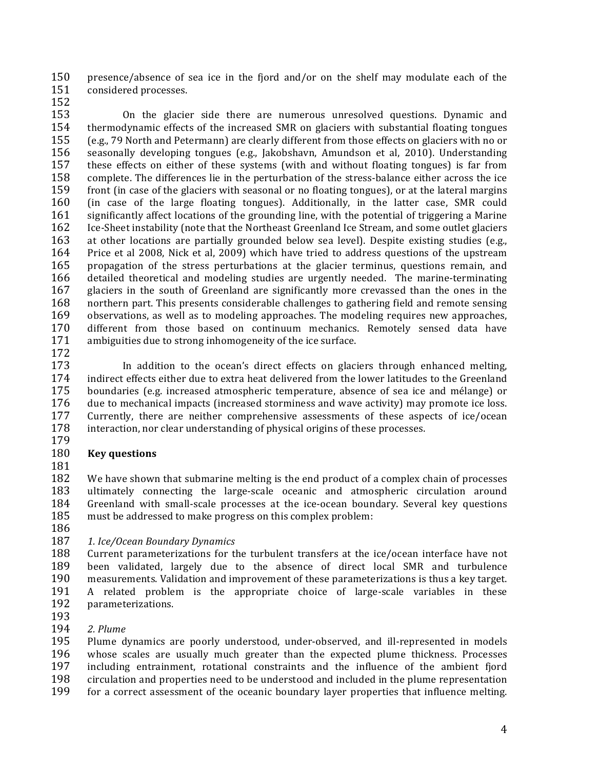150 presence/absence of sea ice in the fjord and/or on the shelf may modulate each of the 151 considered processes.

152

153 On the glacier side there are numerous unresolved questions. Dynamic and 154 thermodynamic effects of the increased SMR on glaciers with substantial floating tongues 155 (e.g., 79 North and Petermann) are clearly different from those effects on glaciers with no or 156 seasonally developing tongues (e.g., Jakobshavn, Amundson et al, 2010). Understanding 157 these effects on either of these systems (with and without floating tongues) is far from 158 complete. The differences lie in the perturbation of the stress-balance either across the ice 159 front (in case of the glaciers with seasonal or no floating tongues), or at the lateral margins 160 (in case of the large floating tongues). Additionally, in the latter case, SMR could 161 significantly affect locations of the grounding line, with the potential of triggering a Marine 162 Ice-Sheet instability (note that the Northeast Greenland Ice Stream, and some outlet glaciers 163 at other locations are partially grounded below sea level). Despite existing studies (e.g., 164 Price et al 2008, Nick et al, 2009) which have tried to address questions of the upstream 165 propagation of the stress perturbations at the glacier terminus, questions remain, and 166 detailed theoretical and modeling studies are urgently needed. The marine-terminating 167 glaciers in the south of Greenland are significantly more crevassed than the ones in the 168 northern part. This presents considerable challenges to gathering field and remote sensing 169 observations, as well as to modeling approaches. The modeling requires new approaches, 170 different from those based on continuum mechanics. Remotely sensed data have 171 ambiguities due to strong inhomogeneity of the ice surface.

172

173 In addition to the ocean's direct effects on glaciers through enhanced melting, 174 indirect effects either due to extra heat delivered from the lower latitudes to the Greenland 175 boundaries (e.g. increased atmospheric temperature, absence of sea ice and mélange) or 176 due to mechanical impacts (increased storminess and wave activity) may promote ice loss. 177 Currently, there are neither comprehensive assessments of these aspects of ice/ocean 178 interaction, nor clear understanding of physical origins of these processes.

179

### 180 **Key questions**

181

182 We have shown that submarine melting is the end product of a complex chain of processes 183 ultimately connecting the large-scale oceanic and atmospheric circulation around 184 Greenland with small-scale processes at the ice-ocean boundary. Several key questions 185 must be addressed to make progress on this complex problem:

186

## 187 1. Ice/Ocean Boundary Dynamics

188 Current parameterizations for the turbulent transfers at the ice/ocean interface have not 189 been validated, largely due to the absence of direct local SMR and turbulence 190 measurements. Validation and improvement of these parameterizations is thus a key target. 191 A related problem is the appropriate choice of large-scale variables in these 192 parameterizations.

- 193
- 194 2. Plume

195 Plume dynamics are poorly understood, under-observed, and ill-represented in models 196 whose scales are usually much greater than the expected plume thickness. Processes 197 including entrainment, rotational constraints and the influence of the ambient fjord 198 circulation and properties need to be understood and included in the plume representation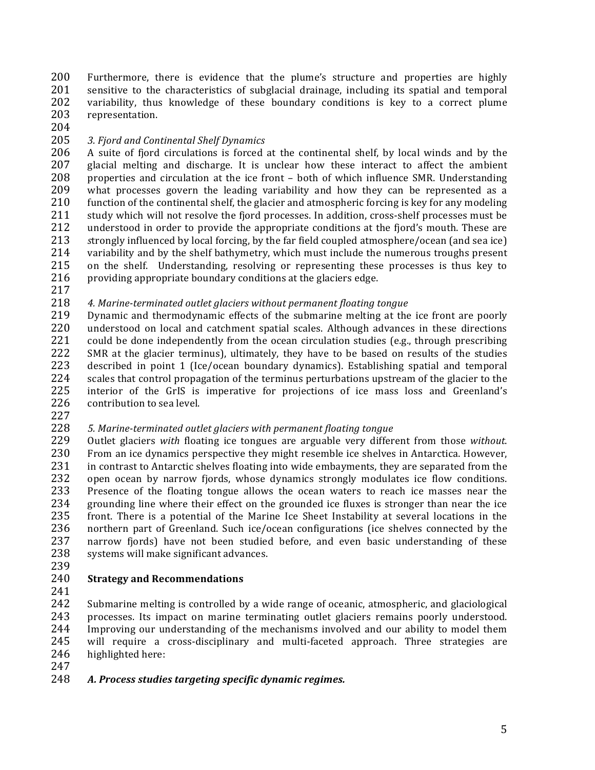200 Furthermore, there is evidence that the plume's structure and properties are highly 201 sensitive to the characteristics of subglacial drainage, including its spatial and temporal 201 sensitive to the characteristics of subglacial drainage, including its spatial and temporal<br>202 variability, thus knowledge of these boundary conditions is key to a correct plume variability, thus knowledge of these boundary conditions is key to a correct plume 203 representation.

204

### 205 3. Fjord and Continental Shelf Dynamics

 $206$  A suite of fjord circulations is forced at the continental shelf, by local winds and by the 207 glacial melting and discharge. It is unclear how these interact to affect the ambient  $208$  properties and circulation at the ice front – both of which influence SMR. Understanding 209 what processes govern the leading variability and how they can be represented as a 210 function of the continental shelf, the glacier and atmospheric forcing is key for any modeling 211 study which will not resolve the fjord processes. In addition, cross-shelf processes must be 212 understood in order to provide the appropriate conditions at the fjord's mouth. These are 213 strongly influenced by local forcing, by the far field coupled atmosphere/ocean (and sea ice) 214 variability and by the shelf bathymetry, which must include the numerous troughs present 215 on the shelf. Understanding, resolving or representing these processes is thus key to 216 providing appropriate boundary conditions at the glaciers edge.

217

#### 218 4. Marine-terminated outlet glaciers without permanent floating tongue

219 Dynamic and thermodynamic effects of the submarine melting at the ice front are poorly 220 understood on local and catchment spatial scales. Although advances in these directions 221 could be done independently from the ocean circulation studies (e.g., through prescribing 222 SMR at the glacier terminus), ultimately, they have to be based on results of the studies SMR at the glacier terminus), ultimately, they have to be based on results of the studies 223 described in point 1 (Ice/ocean boundary dynamics). Establishing spatial and temporal 224 scales that control propagation of the terminus perturbations upstream of the glacier to the 225 interior of the GrIS is imperative for projections of ice mass loss and Greenland's 226 contribution to sea level.

227

#### 228 5. Marine-terminated outlet glaciers with permanent floating tongue

229 Outlet glaciers with floating ice tongues are arguable very different from those without. 230 From an ice dynamics perspective they might resemble ice shelves in Antarctica. However, 231 in contrast to Antarctic shelves floating into wide embayments, they are separated from the 232 open ocean by narrow fjords, whose dynamics strongly modulates ice flow conditions. 233 Presence of the floating tongue allows the ocean waters to reach ice masses near the 234 grounding line where their effect on the grounded ice fluxes is stronger than near the ice 235 front. There is a potential of the Marine Ice Sheet Instability at several locations in the 236 northern part of Greenland. Such ice/ocean configurations (ice shelves connected by the 237 narrow fjords) have not been studied before, and even basic understanding of these 238 systems will make significant advances.

239

### 240 **Strategy!and!Recommendations**

241

242 Submarine melting is controlled by a wide range of oceanic, atmospheric, and glaciological 243 processes. Its impact on marine terminating outlet glaciers remains poorly understood. 244 Improving our understanding of the mechanisms involved and our ability to model them 245 will require a cross-disciplinary and multi-faceted approach. Three strategies are 246 highlighted here:

247

# 248 A. Process studies targeting specific dynamic regimes.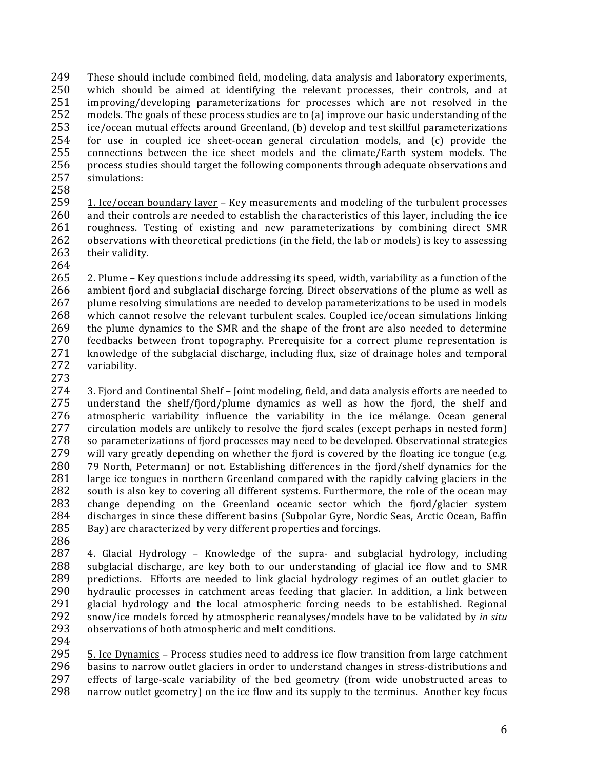249 These should include combined field, modeling, data analysis and laboratory experiments, 250 which should be aimed at identifying the relevant processes, their controls, and at 251 improving/developing parameterizations for processes which are not resolved in the improving/developing parameterizations for processes which are not resolved in the 252 models. The goals of these process studies are to (a) improve our basic understanding of the 253 ice/ocean mutual effects around Greenland, (b) develop and test skillful parameterizations  $254$  for use in coupled ice sheet-ocean general circulation models, and  $(c)$  provide the 255 connections between the ice sheet models and the climate/Earth system models. The 256 process studies should target the following components through adequate observations and 257 simulations:

258

259 1. Ice/ocean boundary layer – Key measurements and modeling of the turbulent processes 260 and their controls are needed to establish the characteristics of this layer, including the ice 261 roughness. Testing of existing and new parameterizations by combining direct SMR 262 observations with theoretical predictions (in the field, the lab or models) is key to assessing 263 their validity.

264

265 2. Plume – Key questions include addressing its speed, width, variability as a function of the 266 ambient fjord and subglacial discharge forcing. Direct observations of the plume as well as 267 plume resolving simulations are needed to develop parameterizations to be used in models  $268$  which cannot resolve the relevant turbulent scales. Coupled ice/ocean simulations linking 269 the plume dynamics to the SMR and the shape of the front are also needed to determine 270 feedbacks between front topography. Prerequisite for a correct plume representation is 271 knowledge of the subglacial discharge, including flux, size of drainage holes and temporal knowledge of the subglacial discharge, including flux, size of drainage holes and temporal 272 variability. 273

274 3. Fjord and Continental Shelf – Joint modeling, field, and data analysis efforts are needed to 275 understand the shelf/fjord/plume dynamics as well as how the fjord, the shelf and 276 atmospheric variability influence the variability in the ice mélange. Ocean general 277 circulation models are unlikely to resolve the fjord scales (except perhaps in nested form) 278 so parameterizations of fjord processes may need to be developed. Observational strategies 279 will vary greatly depending on whether the fjord is covered by the floating ice tongue (e.g.  $\overline{a}$ 280 79 North, Petermann) or not. Establishing differences in the fjord/shelf dynamics for the 281 large ice tongues in northern Greenland compared with the rapidly calving glaciers in the 282 south is also key to covering all different systems. Furthermore, the role of the ocean may 283 change depending on the Greenland oceanic sector which the fjord/glacier system 284 discharges in since these different basins (Subpolar Gyre, Nordic Seas, Arctic Ocean, Baffin 285 Bay) are characterized by very different properties and forcings. 286

 $287$  4. Glacial Hydrology – Knowledge of the supra- and subglacial hydrology, including 288 subglacial discharge, are key both to our understanding of glacial ice flow and to SMR 289 predictions. Efforts are needed to link glacial hydrology regimes of an outlet glacier to 290 hydraulic processes in catchment areas feeding that glacier. In addition, a link between 291 glacial hydrology and the local atmospheric forcing needs to be established. Regional 292 snow/ice models forced by atmospheric reanalyses/models have to be validated by *in situ* 293 observations of both atmospheric and melt conditions.

294

295 5. Ice Dynamics – Process studies need to address ice flow transition from large catchment 296 basins to narrow outlet glaciers in order to understand changes in stress-distributions and 297 effects of large-scale variability of the bed geometry (from wide unobstructed areas to 298 narrow outlet geometry) on the ice flow and its supply to the terminus. Another key focus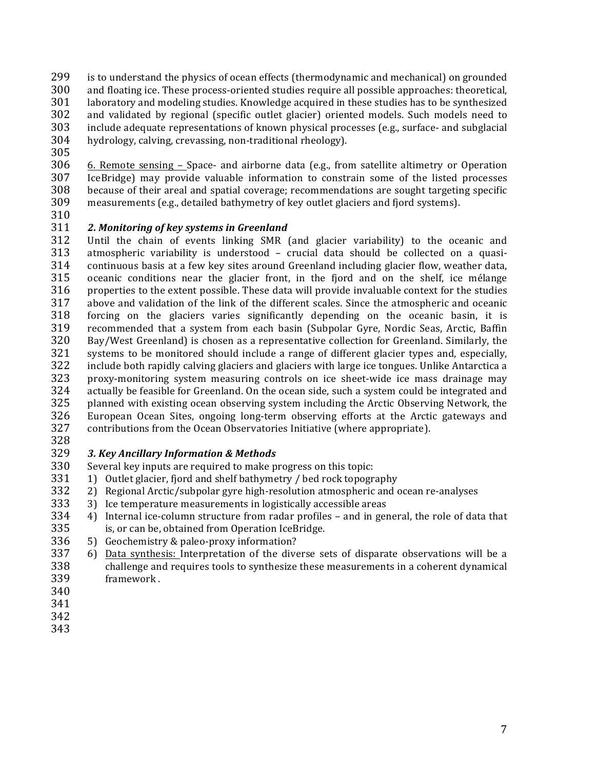- 299 is to understand the physics of ocean effects (thermodynamic and mechanical) on grounded
- 300 and floating ice. These process-oriented studies require all possible approaches: theoretical,<br>301 laboratory and modeling studies. Knowledge acquired in these studies has to be synthesized
- laboratory and modeling studies. Knowledge acquired in these studies has to be synthesized
- 302 and validated by regional (specific outlet glacier) oriented models. Such models need to  $303$  include adequate representations of known physical processes (e.g., surface- and subglacial
- $304$  hydrology, calving, crevassing, non-traditional rheology).
- 305
- 

 $306$  6. Remote sensing – Space- and airborne data (e.g., from satellite altimetry or Operation 307 IceBridge) may provide valuable information to constrain some of the listed processes  $308$  because of their areal and spatial coverage; recommendations are sought targeting specific 309 measurements (e.g., detailed bathymetry of key outlet glaciers and fjord systems).

310

## 311 **2. Monitoring of key systems in Greenland**

312 Until the chain of events linking SMR (and glacier variability) to the oceanic and  $313$  atmospheric variability is understood – crucial data should be collected on a quasi-314 continuous basis at a few key sites around Greenland including glacier flow, weather data, 315 oceanic conditions near the glacier front, in the fjord and on the shelf, ice mélange 316 properties to the extent possible. These data will provide invaluable context for the studies 317 above and validation of the link of the different scales. Since the atmospheric and oceanic 318 forcing on the glaciers varies significantly depending on the oceanic basin, it is 319 recommended that a system from each basin (Subpolar Gyre, Nordic Seas, Arctic, Baffin 320 Bay/West Greenland) is chosen as a representative collection for Greenland. Similarly, the 321 systems to be monitored should include a range of different glacier types and, especially, systems to be monitored should include a range of different glacier types and, especially, 322 include both rapidly calving glaciers and glaciers with large ice tongues. Unlike Antarctica a 323 proxy-monitoring system measuring controls on ice sheet-wide ice mass drainage may  $324$  actually be feasible for Greenland. On the ocean side, such a system could be integrated and 325 planned with existing ocean observing system including the Arctic Observing Network, the 326 European Ocean Sites, ongoing long-term observing efforts at the Arctic gateways and 327 contributions from the Ocean Observatories Initiative (where appropriate).

328

## 329 3. Key Ancillary Information & Methods

330 Several key inputs are required to make progress on this topic:

- 331 1) Outlet glacier, fjord and shelf bathymetry / bed rock topography
- $332$  2) Regional Arctic/subpolar gyre high-resolution atmospheric and ocean re-analyses
- 333 3) Ice temperature measurements in logistically accessible areas
- $334$  4) Internal ice-column structure from radar profiles and in general, the role of data that
- 335 is, or can be, obtained from Operation IceBridge.
- 336  $\,$  5) Geochemistry & paleo-proxy information?
- 337 6) Data synthesis: Interpretation of the diverse sets of disparate observations will be a 338 challenge and requires tools to synthesize these measurements in a coherent dynamical 339 framework!.
- 340
- 341
- 342
- 343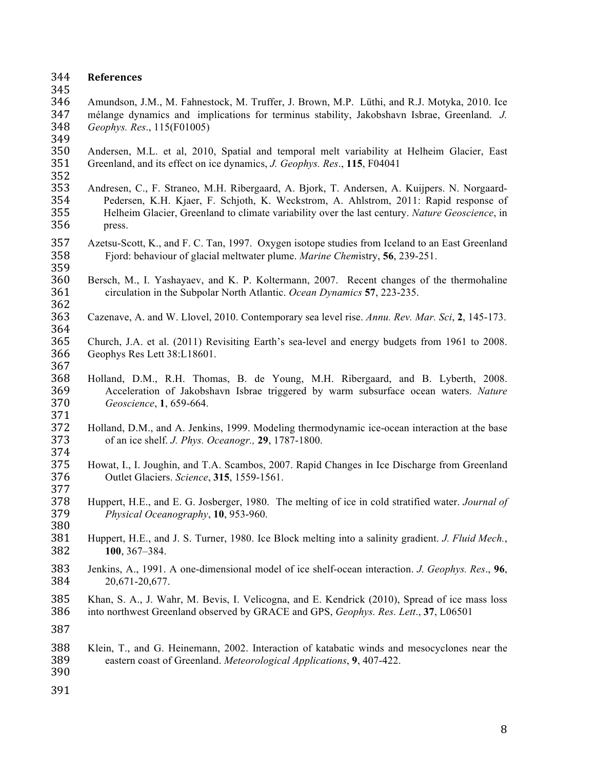#### **References**

345<br>346

 Amundson, J.M., M. Fahnestock, M. Truffer, J. Brown, M.P. Lüthi, and R.J. Motyka, 2010. Ice mélange dynamics and implications for terminus stability, Jakobshavn Isbrae, Greenland. *J. Geophys. Res*., 115(F01005) 

- Andersen, M.L. et al, 2010, Spatial and temporal melt variability at Helheim Glacier, East Greenland, and its effect on ice dynamics, *J. Geophys. Res*., **115**, F04041
- 

- Andresen, C., F. Straneo, M.H. Ribergaard, A. Bjork, T. Andersen, A. Kuijpers. N. Norgaard- Pedersen, K.H. Kjaer, F. Schjoth, K. Weckstrom, A. Ahlstrom, 2011: Rapid response of Helheim Glacier, Greenland to climate variability over the last century. *Nature Geoscience*, in press.
- Azetsu-Scott, K., and F. C. Tan, 1997. Oxygen isotope studies from Iceland to an East Greenland Fjord: behaviour of glacial meltwater plume. *Marine Chem*istry, **56**, 239-251.
- Bersch, M., I. Yashayaev, and K. P. Koltermann, 2007. Recent changes of the thermohaline circulation in the Subpolar North Atlantic. *Ocean Dynamics* **57**, 223-235.
- Cazenave, A. and W. Llovel, 2010. Contemporary sea level rise. *Annu. Rev. Mar. Sci*, **2**, 145-173.
- Church, J.A. et al. (2011) Revisiting Earth's sea-level and energy budgets from 1961 to 2008. Geophys Res Lett 38:L18601.
- Holland, D.M., R.H. Thomas, B. de Young, M.H. Ribergaard, and B. Lyberth, 2008. Acceleration of Jakobshavn Isbrae triggered by warm subsurface ocean waters. *Nature Geoscience*, **1**, 659-664.
- Holland, D.M., and A. Jenkins, 1999. Modeling thermodynamic ice-ocean interaction at the base of an ice shelf. *J. Phys. Oceanogr.,* **29**, 1787-1800.
- 375 Howat, I., I. Joughin, and T.A. Scambos, 2007. Rapid Changes in Ice Discharge from Greenland<br>376 Outlet Glaciers. Science, 315, 1559-1561. Outlet Glaciers. *Science*, **315**, 1559-1561.
- Huppert, H.E., and E. G. Josberger, 1980. The melting of ice in cold stratified water. *Journal of Physical Oceanography*, **10**, 953-960.
- Huppert, H.E., and J. S. Turner, 1980. Ice Block melting into a salinity gradient. *J. Fluid Mech.*, **100**, 367–384.
- Jenkins, A., 1991. A one-dimensional model of ice shelf-ocean interaction. *J. Geophys. Res*., **96**, 20,671-20,677.
- Khan, S. A., J. Wahr, M. Bevis, I. Velicogna, and E. Kendrick (2010), Spread of ice mass loss into northwest Greenland observed by GRACE and GPS, *Geophys. Res. Lett*., **37**, L06501
- 
- Klein, T., and G. Heinemann, 2002. Interaction of katabatic winds and mesocyclones near the eastern coast of Greenland. *Meteorological Applications*, **9**, 407-422.
- 
-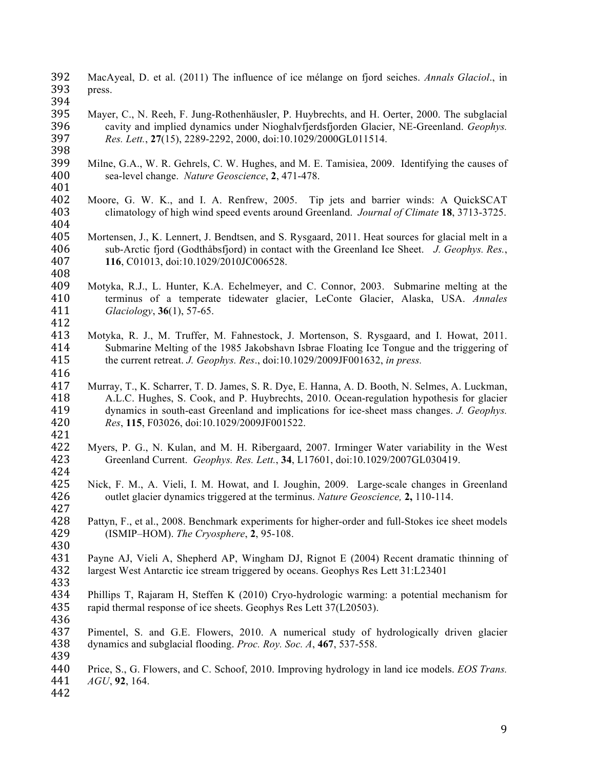MacAyeal, D. et al. (2011) The influence of ice mélange on fjord seiches. *Annals Glaciol*., in press.

- Mayer, C., N. Reeh, F. Jung-Rothenhäusler, P. Huybrechts, and H. Oerter, 2000. The subglacial cavity and implied dynamics under Nioghalvfjerdsfjorden Glacier, NE-Greenland. *Geophys. Res. Lett.*, **27**(15), 2289-2292, 2000, doi:10.1029/2000GL011514.
- Milne, G.A., W. R. Gehrels, C. W. Hughes, and M. E. Tamisiea, 2009. Identifying the causes of sea-level change. *Nature Geoscience*, **2**, 471-478.
- 401<br>402 Moore, G. W. K., and I. A. Renfrew, 2005. Tip jets and barrier winds: A QuickSCAT climatology of high wind speed events around Greenland. *Journal of Climate* **18**, 3713-3725.
- Mortensen, J., K. Lennert, J. Bendtsen, and S. Rysgaard, 2011. Heat sources for glacial melt in a sub-Arctic fjord (Godthåbsfjord) in contact with the Greenland Ice Sheet. *J. Geophys. Res.*, **116**, C01013, doi:10.1029/2010JC006528.
- Motyka, R.J., L. Hunter, K.A. Echelmeyer, and C. Connor, 2003. Submarine melting at the terminus of a temperate tidewater glacier, LeConte Glacier, Alaska, USA. *Annales Glaciology*, **36**(1), 57-65.
- Motyka, R. J., M. Truffer, M. Fahnestock, J. Mortenson, S. Rysgaard, and I. Howat, 2011. Submarine Melting of the 1985 Jakobshavn Isbrae Floating Ice Tongue and the triggering of the current retreat. *J. Geophys. Res*., doi:10.1029/2009JF001632, *in press.*
- 

- Murray, T., K. Scharrer, T. D. James, S. R. Dye, E. Hanna, A. D. Booth, N. Selmes, A. Luckman, A.L.C. Hughes, S. Cook, and P. Huybrechts, 2010. Ocean-regulation hypothesis for glacier dynamics in south-east Greenland and implications for ice-sheet mass changes. *J. Geophys. Res*, **115**, F03026, doi:10.1029/2009JF001522.
- 
- Myers, P. G., N. Kulan, and M. H. Ribergaard, 2007. Irminger Water variability in the West Greenland Current. *Geophys. Res. Lett.*, **34**, L17601, doi:10.1029/2007GL030419.
- Nick, F. M., A. Vieli, I. M. Howat, and I. Joughin, 2009. Large-scale changes in Greenland outlet glacier dynamics triggered at the terminus. *Nature Geoscience,* **2,** 110-114.
- Pattyn, F., et al., 2008. Benchmark experiments for higher-order and full-Stokes ice sheet models (ISMIP–HOM). *The Cryosphere*, **2**, 95-108.
- 

- Payne AJ, Vieli A, Shepherd AP, Wingham DJ, Rignot E (2004) Recent dramatic thinning of largest West Antarctic ice stream triggered by oceans. Geophys Res Lett 31:L23401
- 433<br>434 Phillips T, Rajaram H, Steffen K (2010) Cryo-hydrologic warming: a potential mechanism for rapid thermal response of ice sheets. Geophys Res Lett 37(L20503).
- Pimentel, S. and G.E. Flowers, 2010. A numerical study of hydrologically driven glacier dynamics and subglacial flooding. *Proc. Roy. Soc. A*, **467**, 537-558.
- Price, S., G. Flowers, and C. Schoof, 2010. Improving hydrology in land ice models. *EOS Trans. AGU*, **92**, 164.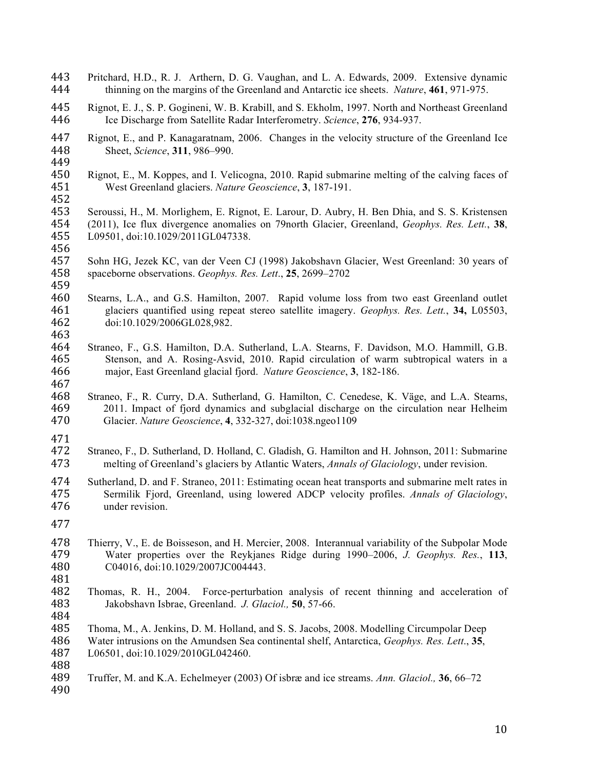- Pritchard, H.D., R. J. Arthern, D. G. Vaughan, and L. A. Edwards, 2009. Extensive dynamic thinning on the margins of the Greenland and Antarctic ice sheets. *Nature*, **461**, 971-975.
- Rignot, E. J., S. P. Gogineni, W. B. Krabill, and S. Ekholm, 1997. North and Northeast Greenland Ice Discharge from Satellite Radar Interferometry. *Science*, **276**, 934-937.
- 447 Rignot, E., and P. Kanagaratnam, 2006. Changes in the velocity structure of the Greenland Ice<br>448 Sheet, Science, 311, 986–990. Sheet, *Science*, **311**, 986–990.
- 

- Rignot, E., M. Koppes, and I. Velicogna, 2010. Rapid submarine melting of the calving faces of West Greenland glaciers. *Nature Geoscience*, **3**, 187-191.
- Seroussi, H., M. Morlighem, E. Rignot, E. Larour, D. Aubry, H. Ben Dhia, and S. S. Kristensen (2011), Ice flux divergence anomalies on 79north Glacier, Greenland, *Geophys. Res. Lett.*, **38**, L09501, doi:10.1029/2011GL047338.
- Sohn HG, Jezek KC, van der Veen CJ (1998) Jakobshavn Glacier, West Greenland: 30 years of spaceborne observations. *Geophys. Res. Lett*., **25**, 2699–2702
- Stearns, L.A., and G.S. Hamilton, 2007. Rapid volume loss from two east Greenland outlet glaciers quantified using repeat stereo satellite imagery. *Geophys. Res. Lett.*, **34,** L05503, doi:10.1029/2006GL028,982.
- Straneo, F., G.S. Hamilton, D.A. Sutherland, L.A. Stearns, F. Davidson, M.O. Hammill, G.B. Stenson, and A. Rosing-Asvid, 2010. Rapid circulation of warm subtropical waters in a major, East Greenland glacial fjord. *Nature Geoscience*, **3**, 182-186.
- Straneo, F., R. Curry, D.A. Sutherland, G. Hamilton, C. Cenedese, K. Väge, and L.A. Stearns, 2011. Impact of fjord dynamics and subglacial discharge on the circulation near Helheim Glacier. *Nature Geoscience*, **4**, 332-327, doi:1038.ngeo1109
- 
- Straneo, F., D. Sutherland, D. Holland, C. Gladish, G. Hamilton and H. Johnson, 2011: Submarine melting of Greenland's glaciers by Atlantic Waters, *Annals of Glaciology*, under revision.
- Sutherland, D. and F. Straneo, 2011: Estimating ocean heat transports and submarine melt rates in Sermilik Fjord, Greenland, using lowered ADCP velocity profiles. *Annals of Glaciology*, under revision.
- 
- Thierry, V., E. de Boisseson, and H. Mercier, 2008. Interannual variability of the Subpolar Mode Water properties over the Reykjanes Ridge during 1990–2006, *J. Geophys. Res.*, **113**, C04016, doi:10.1029/2007JC004443.
- Thomas, R. H., 2004. Force-perturbation analysis of recent thinning and acceleration of Jakobshavn Isbrae, Greenland. *J. Glaciol.,* **50**, 57-66.
- Thoma, M., A. Jenkins, D. M. Holland, and S. S. Jacobs, 2008. Modelling Circumpolar Deep Water intrusions on the Amundsen Sea continental shelf, Antarctica, *Geophys. Res. Lett*., **35**, L06501, doi:10.1029/2010GL042460.
- 

 Truffer, M. and K.A. Echelmeyer (2003) Of isbræ and ice streams. *Ann. Glaciol.,* **36**, 66–72